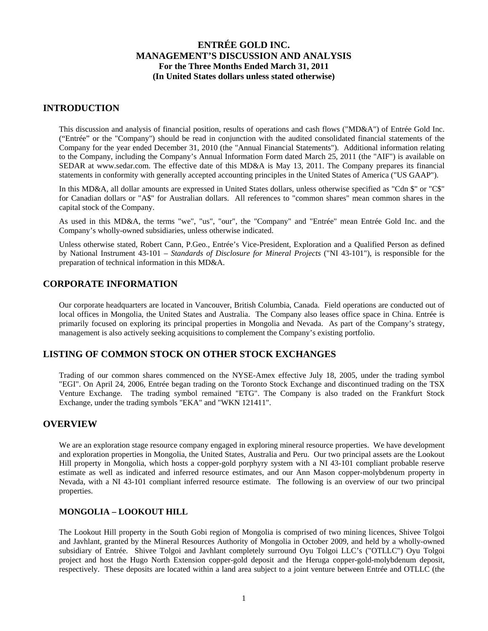### **INTRODUCTION**

This discussion and analysis of financial position, results of operations and cash flows ("MD&A") of Entrée Gold Inc. ("Entrée" or the "Company") should be read in conjunction with the audited consolidated financial statements of the Company for the year ended December 31, 2010 (the "Annual Financial Statements"). Additional information relating to the Company, including the Company's Annual Information Form dated March 25, 2011 (the "AIF") is available on SEDAR at www.sedar.com. The effective date of this MD&A is May 13, 2011. The Company prepares its financial statements in conformity with generally accepted accounting principles in the United States of America ("US GAAP").

In this MD&A, all dollar amounts are expressed in United States dollars, unless otherwise specified as "Cdn \$" or "C\$" for Canadian dollars or "A\$" for Australian dollars. All references to "common shares" mean common shares in the capital stock of the Company.

As used in this MD&A, the terms "we", "us", "our", the "Company" and "Entrée" mean Entrée Gold Inc. and the Company's wholly-owned subsidiaries, unless otherwise indicated.

Unless otherwise stated, Robert Cann, P.Geo., Entrée's Vice-President, Exploration and a Qualified Person as defined by National Instrument 43-101 – *Standards of Disclosure for Mineral Projects* ("NI 43-101"), is responsible for the preparation of technical information in this MD&A.

## **CORPORATE INFORMATION**

Our corporate headquarters are located in Vancouver, British Columbia, Canada. Field operations are conducted out of local offices in Mongolia, the United States and Australia. The Company also leases office space in China. Entrée is primarily focused on exploring its principal properties in Mongolia and Nevada. As part of the Company's strategy, management is also actively seeking acquisitions to complement the Company's existing portfolio.

## **LISTING OF COMMON STOCK ON OTHER STOCK EXCHANGES**

Trading of our common shares commenced on the NYSE-Amex effective July 18, 2005, under the trading symbol "EGI". On April 24, 2006, Entrée began trading on the Toronto Stock Exchange and discontinued trading on the TSX Venture Exchange. The trading symbol remained "ETG". The Company is also traded on the Frankfurt Stock Exchange, under the trading symbols "EKA" and "WKN 121411".

### **OVERVIEW**

We are an exploration stage resource company engaged in exploring mineral resource properties. We have development and exploration properties in Mongolia, the United States, Australia and Peru. Our two principal assets are the Lookout Hill property in Mongolia, which hosts a copper-gold porphyry system with a NI 43-101 compliant probable reserve estimate as well as indicated and inferred resource estimates, and our Ann Mason copper-molybdenum property in Nevada, with a NI 43-101 compliant inferred resource estimate. The following is an overview of our two principal properties.

### **MONGOLIA – LOOKOUT HILL**

The Lookout Hill property in the South Gobi region of Mongolia is comprised of two mining licences, Shivee Tolgoi and Javhlant, granted by the Mineral Resources Authority of Mongolia in October 2009, and held by a wholly-owned subsidiary of Entrée. Shivee Tolgoi and Javhlant completely surround Oyu Tolgoi LLC's ("OTLLC") Oyu Tolgoi project and host the Hugo North Extension copper-gold deposit and the Heruga copper-gold-molybdenum deposit, respectively. These deposits are located within a land area subject to a joint venture between Entrée and OTLLC (the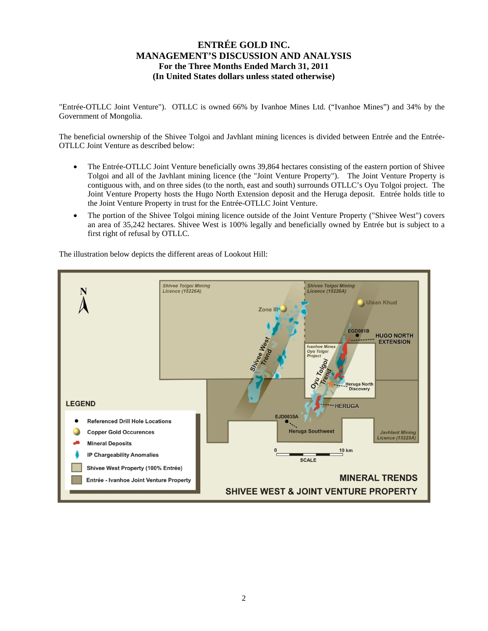"Entrée-OTLLC Joint Venture"). OTLLC is owned 66% by Ivanhoe Mines Ltd. ("Ivanhoe Mines") and 34% by the Government of Mongolia.

The beneficial ownership of the Shivee Tolgoi and Javhlant mining licences is divided between Entrée and the Entrée-OTLLC Joint Venture as described below:

- The Entrée-OTLLC Joint Venture beneficially owns 39,864 hectares consisting of the eastern portion of Shivee Tolgoi and all of the Javhlant mining licence (the "Joint Venture Property"). The Joint Venture Property is contiguous with, and on three sides (to the north, east and south) surrounds OTLLC's Oyu Tolgoi project. The Joint Venture Property hosts the Hugo North Extension deposit and the Heruga deposit. Entrée holds title to the Joint Venture Property in trust for the Entrée-OTLLC Joint Venture.
- The portion of the Shivee Tolgoi mining licence outside of the Joint Venture Property ("Shivee West") covers an area of 35,242 hectares. Shivee West is 100% legally and beneficially owned by Entrée but is subject to a first right of refusal by OTLLC.

The illustration below depicts the different areas of Lookout Hill:

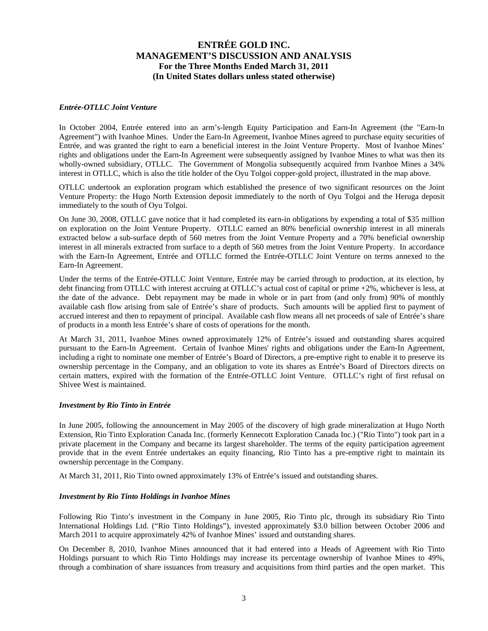#### *Entrée-OTLLC Joint Venture*

In October 2004, Entrée entered into an arm's-length Equity Participation and Earn-In Agreement (the "Earn-In Agreement") with Ivanhoe Mines. Under the Earn-In Agreement, Ivanhoe Mines agreed to purchase equity securities of Entrée, and was granted the right to earn a beneficial interest in the Joint Venture Property. Most of Ivanhoe Mines' rights and obligations under the Earn-In Agreement were subsequently assigned by Ivanhoe Mines to what was then its wholly-owned subsidiary, OTLLC. The Government of Mongolia subsequently acquired from Ivanhoe Mines a 34% interest in OTLLC, which is also the title holder of the Oyu Tolgoi copper-gold project, illustrated in the map above.

OTLLC undertook an exploration program which established the presence of two significant resources on the Joint Venture Property: the Hugo North Extension deposit immediately to the north of Oyu Tolgoi and the Heruga deposit immediately to the south of Oyu Tolgoi.

On June 30, 2008, OTLLC gave notice that it had completed its earn-in obligations by expending a total of \$35 million on exploration on the Joint Venture Property. OTLLC earned an 80% beneficial ownership interest in all minerals extracted below a sub-surface depth of 560 metres from the Joint Venture Property and a 70% beneficial ownership interest in all minerals extracted from surface to a depth of 560 metres from the Joint Venture Property. In accordance with the Earn-In Agreement, Entrée and OTLLC formed the Entrée-OTLLC Joint Venture on terms annexed to the Earn-In Agreement.

Under the terms of the Entrée-OTLLC Joint Venture, Entrée may be carried through to production, at its election, by debt financing from OTLLC with interest accruing at OTLLC's actual cost of capital or prime +2%, whichever is less, at the date of the advance. Debt repayment may be made in whole or in part from (and only from) 90% of monthly available cash flow arising from sale of Entrée's share of products. Such amounts will be applied first to payment of accrued interest and then to repayment of principal. Available cash flow means all net proceeds of sale of Entrée's share of products in a month less Entrée's share of costs of operations for the month.

At March 31, 2011, Ivanhoe Mines owned approximately 12% of Entrée's issued and outstanding shares acquired pursuant to the Earn-In Agreement. Certain of Ivanhoe Mines' rights and obligations under the Earn-In Agreement, including a right to nominate one member of Entrée's Board of Directors, a pre-emptive right to enable it to preserve its ownership percentage in the Company, and an obligation to vote its shares as Entrée's Board of Directors directs on certain matters, expired with the formation of the Entrée-OTLLC Joint Venture. OTLLC's right of first refusal on Shivee West is maintained.

#### *Investment by Rio Tinto in Entrée*

In June 2005, following the announcement in May 2005 of the discovery of high grade mineralization at Hugo North Extension, Rio Tinto Exploration Canada Inc. (formerly Kennecott Exploration Canada Inc.) ("Rio Tinto") took part in a private placement in the Company and became its largest shareholder. The terms of the equity participation agreement provide that in the event Entrée undertakes an equity financing, Rio Tinto has a pre-emptive right to maintain its ownership percentage in the Company.

At March 31, 2011, Rio Tinto owned approximately 13% of Entrée's issued and outstanding shares.

#### *Investment by Rio Tinto Holdings in Ivanhoe Mines*

Following Rio Tinto's investment in the Company in June 2005, Rio Tinto plc, through its subsidiary Rio Tinto International Holdings Ltd. ("Rio Tinto Holdings"), invested approximately \$3.0 billion between October 2006 and March 2011 to acquire approximately 42% of Ivanhoe Mines' issued and outstanding shares.

On December 8, 2010, Ivanhoe Mines announced that it had entered into a Heads of Agreement with Rio Tinto Holdings pursuant to which Rio Tinto Holdings may increase its percentage ownership of Ivanhoe Mines to 49%, through a combination of share issuances from treasury and acquisitions from third parties and the open market. This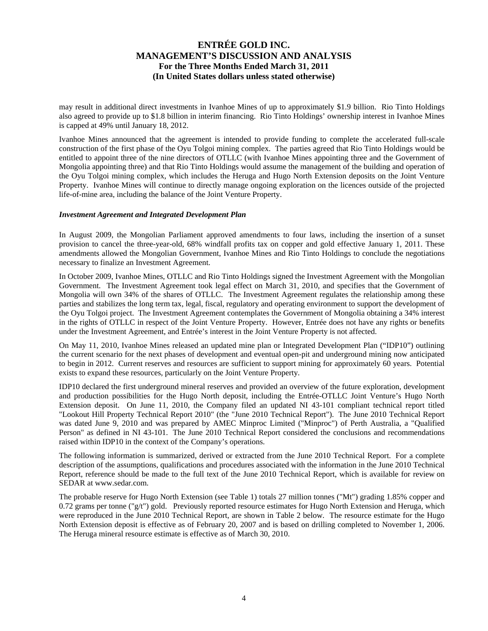may result in additional direct investments in Ivanhoe Mines of up to approximately \$1.9 billion. Rio Tinto Holdings also agreed to provide up to \$1.8 billion in interim financing. Rio Tinto Holdings' ownership interest in Ivanhoe Mines is capped at 49% until January 18, 2012.

Ivanhoe Mines announced that the agreement is intended to provide funding to complete the accelerated full-scale construction of the first phase of the Oyu Tolgoi mining complex. The parties agreed that Rio Tinto Holdings would be entitled to appoint three of the nine directors of OTLLC (with Ivanhoe Mines appointing three and the Government of Mongolia appointing three) and that Rio Tinto Holdings would assume the management of the building and operation of the Oyu Tolgoi mining complex, which includes the Heruga and Hugo North Extension deposits on the Joint Venture Property. Ivanhoe Mines will continue to directly manage ongoing exploration on the licences outside of the projected life-of-mine area, including the balance of the Joint Venture Property.

#### *Investment Agreement and Integrated Development Plan*

In August 2009, the Mongolian Parliament approved amendments to four laws, including the insertion of a sunset provision to cancel the three-year-old, 68% windfall profits tax on copper and gold effective January 1, 2011. These amendments allowed the Mongolian Government, Ivanhoe Mines and Rio Tinto Holdings to conclude the negotiations necessary to finalize an Investment Agreement.

In October 2009, Ivanhoe Mines, OTLLC and Rio Tinto Holdings signed the Investment Agreement with the Mongolian Government. The Investment Agreement took legal effect on March 31, 2010, and specifies that the Government of Mongolia will own 34% of the shares of OTLLC. The Investment Agreement regulates the relationship among these parties and stabilizes the long term tax, legal, fiscal, regulatory and operating environment to support the development of the Oyu Tolgoi project. The Investment Agreement contemplates the Government of Mongolia obtaining a 34% interest in the rights of OTLLC in respect of the Joint Venture Property. However, Entrée does not have any rights or benefits under the Investment Agreement, and Entrée's interest in the Joint Venture Property is not affected.

On May 11, 2010, Ivanhoe Mines released an updated mine plan or Integrated Development Plan ("IDP10") outlining the current scenario for the next phases of development and eventual open-pit and underground mining now anticipated to begin in 2012. Current reserves and resources are sufficient to support mining for approximately 60 years. Potential exists to expand these resources, particularly on the Joint Venture Property.

IDP10 declared the first underground mineral reserves and provided an overview of the future exploration, development and production possibilities for the Hugo North deposit, including the Entrée-OTLLC Joint Venture's Hugo North Extension deposit. On June 11, 2010, the Company filed an updated NI 43-101 compliant technical report titled "Lookout Hill Property Technical Report 2010" (the "June 2010 Technical Report"). The June 2010 Technical Report was dated June 9, 2010 and was prepared by AMEC Minproc Limited ("Minproc") of Perth Australia, a "Qualified Person" as defined in NI 43-101. The June 2010 Technical Report considered the conclusions and recommendations raised within IDP10 in the context of the Company's operations.

The following information is summarized, derived or extracted from the June 2010 Technical Report. For a complete description of the assumptions, qualifications and procedures associated with the information in the June 2010 Technical Report, reference should be made to the full text of the June 2010 Technical Report, which is available for review on SEDAR at www.sedar.com.

The probable reserve for Hugo North Extension (see Table 1) totals 27 million tonnes ("Mt") grading 1.85% copper and 0.72 grams per tonne  $(\nabla g/t)$  gold. Previously reported resource estimates for Hugo North Extension and Heruga, which were reproduced in the June 2010 Technical Report, are shown in Table 2 below. The resource estimate for the Hugo North Extension deposit is effective as of February 20, 2007 and is based on drilling completed to November 1, 2006. The Heruga mineral resource estimate is effective as of March 30, 2010.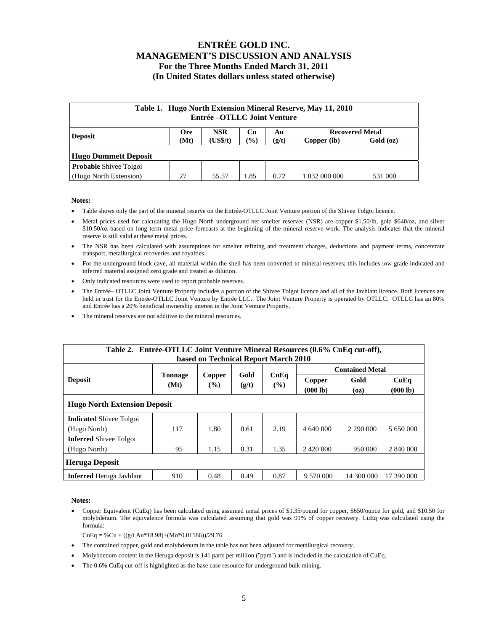| Table 1. Hugo North Extension Mineral Reserve, May 11, 2010<br>Entrée – OTLLC Joint Venture |                                                                |       |                            |       |               |           |  |  |  |
|---------------------------------------------------------------------------------------------|----------------------------------------------------------------|-------|----------------------------|-------|---------------|-----------|--|--|--|
| <b>Deposit</b>                                                                              | <b>NSR</b><br><b>Recovered Metal</b><br><b>Ore</b><br>Cu<br>Au |       |                            |       |               |           |  |  |  |
|                                                                                             | (US\$/t)<br>(Mt)                                               |       | $\left(\frac{0}{0}\right)$ | (g/t) | Copper (lb)   | Gold (oz) |  |  |  |
| Hugo Dummett Deposit                                                                        |                                                                |       |                            |       |               |           |  |  |  |
| <b>Probable Shivee Tolgoi</b>                                                               |                                                                |       |                            |       |               |           |  |  |  |
| (Hugo North Extension)                                                                      | 27                                                             | 55.57 | 1.85                       | 0.72  | 1 032 000 000 | 531 000   |  |  |  |

#### **Notes:**

- Table shows only the part of the mineral reserve on the Entrée-OTLLC Joint Venture portion of the Shivee Tolgoi licence.
- Metal prices used for calculating the Hugo North underground net smelter reserves (NSR) are copper \$1.50/lb, gold \$640/oz, and silver \$10.50/oz based on long term metal price forecasts at the beginning of the mineral reserve work. The analysis indicates that the mineral reserve is still valid at these metal prices.
- The NSR has been calculated with assumptions for smelter refining and treatment charges, deductions and payment terms, concentrate transport, metallurgical recoveries and royalties.
- For the underground block cave, all material within the shell has been converted to mineral reserves; this includes low grade indicated and inferred material assigned zero grade and treated as dilution.
- Only indicated resources were used to report probable reserves.
- The Entrée– OTLLC Joint Venture Property includes a portion of the Shivee Tolgoi licence and all of the Javhlant licence. Both licences are held in trust for the Entrée-OTLLC Joint Venture by Entrée LLC. The Joint Venture Property is operated by OTLLC. OTLLC has an 80% and Entrée has a 20% beneficial ownership interest in the Joint Venture Property.
- The mineral reserves are not additive to the mineral resources.

| Table 2. Entrée-OTLLC Joint Venture Mineral Resources (0.6% CuEq cut-off), |                        |                  |               |                |                    |                        |                  |  |  |
|----------------------------------------------------------------------------|------------------------|------------------|---------------|----------------|--------------------|------------------------|------------------|--|--|
| based on Technical Report March 2010                                       |                        |                  |               |                |                    |                        |                  |  |  |
|                                                                            |                        |                  |               |                |                    | <b>Contained Metal</b> |                  |  |  |
| <b>Deposit</b>                                                             | <b>Tonnage</b><br>(Mt) | Copper<br>$($ %) | Gold<br>(g/t) | CuEq<br>$($ %) | Copper<br>(000 lb) | Gold<br>(oz)           | CuEq<br>(000 lb) |  |  |
| <b>Hugo North Extension Deposit</b>                                        |                        |                  |               |                |                    |                        |                  |  |  |
| <b>Indicated Shivee Tolgoi</b>                                             |                        |                  |               |                |                    |                        |                  |  |  |
| (Hugo North)                                                               | 117                    | 1.80             | 0.61          | 2.19           | 4 640 000          | 2 290 000              | 5 650 000        |  |  |
| <b>Inferred</b> Shivee Tolgoi                                              |                        |                  |               |                |                    |                        |                  |  |  |
| (Hugo North)                                                               | 95                     | 1.15             | 0.31          | 1.35           |                    | 950 000                | 2 840 000        |  |  |
| <b>Heruga Deposit</b>                                                      |                        |                  |               |                |                    |                        |                  |  |  |
| <b>Inferred</b> Heruga Javhlant                                            | 910                    | 0.48             | 0.49          | 0.87           | 9 570 000          | 14 300 000             | 17 390 000       |  |  |

**Notes:** 

 Copper Equivalent (CuEq) has been calculated using assumed metal prices of \$1.35/pound for copper, \$650/ounce for gold, and \$10.50 for molybdenum. The equivalence formula was calculated assuming that gold was 91% of copper recovery. CuEq was calculated using the formula:

 $CuEq = % Cu + ((g/t Au*18.98)+(Mo*0.01586))/29.76$ 

- The contained copper, gold and molybdenum in the table has not been adjusted for metallurgical recovery.
- Molybdenum content in the Heruga deposit is 141 parts per million ("ppm") and is included in the calculation of CuEq.
- The 0.6% CuEq cut-off is highlighted as the base case resource for underground bulk mining.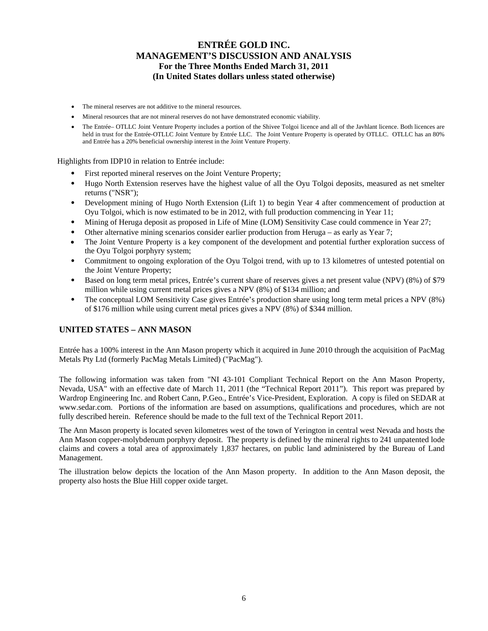- The mineral reserves are not additive to the mineral resources.
- Mineral resources that are not mineral reserves do not have demonstrated economic viability.
- The Entrée– OTLLC Joint Venture Property includes a portion of the Shivee Tolgoi licence and all of the Javhlant licence. Both licences are held in trust for the Entrée-OTLLC Joint Venture by Entrée LLC. The Joint Venture Property is operated by OTLLC. OTLLC has an 80% and Entrée has a 20% beneficial ownership interest in the Joint Venture Property.

Highlights from IDP10 in relation to Entrée include:

- First reported mineral reserves on the Joint Venture Property;
- Hugo North Extension reserves have the highest value of all the Oyu Tolgoi deposits, measured as net smelter returns ("NSR");
- Development mining of Hugo North Extension (Lift 1) to begin Year 4 after commencement of production at Oyu Tolgoi, which is now estimated to be in 2012, with full production commencing in Year 11;
- Mining of Heruga deposit as proposed in Life of Mine (LOM) Sensitivity Case could commence in Year 27;
- Other alternative mining scenarios consider earlier production from Heruga as early as Year 7;
- The Joint Venture Property is a key component of the development and potential further exploration success of the Oyu Tolgoi porphyry system;
- Commitment to ongoing exploration of the Oyu Tolgoi trend, with up to 13 kilometres of untested potential on the Joint Venture Property;
- Based on long term metal prices, Entrée's current share of reserves gives a net present value (NPV) (8%) of \$79 million while using current metal prices gives a NPV (8%) of \$134 million; and
- The conceptual LOM Sensitivity Case gives Entrée's production share using long term metal prices a NPV (8%) of \$176 million while using current metal prices gives a NPV (8%) of \$344 million.

### **UNITED STATES – ANN MASON**

Entrée has a 100% interest in the Ann Mason property which it acquired in June 2010 through the acquisition of PacMag Metals Pty Ltd (formerly PacMag Metals Limited) ("PacMag").

The following information was taken from "NI 43-101 Compliant Technical Report on the Ann Mason Property, Nevada, USA" with an effective date of March 11, 2011 (the "Technical Report 2011"). This report was prepared by Wardrop Engineering Inc. and Robert Cann, P.Geo., Entrée's Vice-President, Exploration. A copy is filed on SEDAR at www.sedar.com. Portions of the information are based on assumptions, qualifications and procedures, which are not fully described herein. Reference should be made to the full text of the Technical Report 2011.

The Ann Mason property is located seven kilometres west of the town of Yerington in central west Nevada and hosts the Ann Mason copper-molybdenum porphyry deposit. The property is defined by the mineral rights to 241 unpatented lode claims and covers a total area of approximately 1,837 hectares, on public land administered by the Bureau of Land Management.

The illustration below depicts the location of the Ann Mason property. In addition to the Ann Mason deposit, the property also hosts the Blue Hill copper oxide target.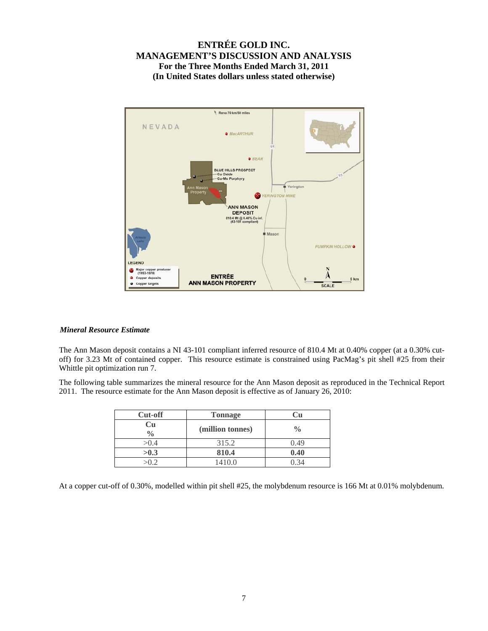

#### *Mineral Resource Estimate*

The Ann Mason deposit contains a NI 43-101 compliant inferred resource of 810.4 Mt at 0.40% copper (at a 0.30% cutoff) for 3.23 Mt of contained copper. This resource estimate is constrained using PacMag's pit shell #25 from their Whittle pit optimization run 7.

The following table summarizes the mineral resource for the Ann Mason deposit as reproduced in the Technical Report 2011. The resource estimate for the Ann Mason deposit is effective as of January 26, 2010:

| <b>Cut-off</b>      | <b>Tonnage</b>   |               |
|---------------------|------------------|---------------|
| Cu<br>$\frac{0}{0}$ | (million tonnes) | $\frac{0}{0}$ |
| >0.4                | 315.2            | 0.49          |
| >0.3                | 810.4            | 0.40          |
| √∩ ∂                | 1410.0           |               |

At a copper cut-off of 0.30%, modelled within pit shell #25, the molybdenum resource is 166 Mt at 0.01% molybdenum.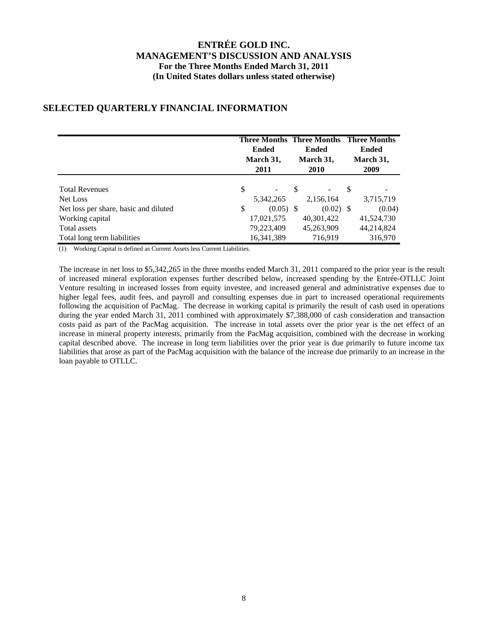#### **Three Months Three Months Three Months Ended March 31, 2011 Ended March 31, 2010 Ended March 31, 2009** Total Revenues  $\qquad \qquad$  \$ - \$ - \$ Net Loss 5,342,265 2,156,164 3,715,719 Net loss per share, basic and diluted  $\qquad$  (0.05) \$ (0.02) \$ (0.04) Working capital 17,021,575 40,301,422 41,524,730 Total assets 79,223,409 45,263,909 44,214,824 Total long term liabilities 16,341,389 716,919 316,970

## **SELECTED QUARTERLY FINANCIAL INFORMATION**

(1) Working Capital is defined as Current Assets less Current Liabilities.

The increase in net loss to \$5,342,265 in the three months ended March 31, 2011 compared to the prior year is the result of increased mineral exploration expenses further described below, increased spending by the Entrée-OTLLC Joint Venture resulting in increased losses from equity investee, and increased general and administrative expenses due to higher legal fees, audit fees, and payroll and consulting expenses due in part to increased operational requirements following the acquisition of PacMag. The decrease in working capital is primarily the result of cash used in operations during the year ended March 31, 2011 combined with approximately \$7,388,000 of cash consideration and transaction costs paid as part of the PacMag acquisition. The increase in total assets over the prior year is the net effect of an increase in mineral property interests, primarily from the PacMag acquisition, combined with the decrease in working capital described above. The increase in long term liabilities over the prior year is due primarily to future income tax liabilities that arose as part of the PacMag acquisition with the balance of the increase due primarily to an increase in the loan payable to OTLLC.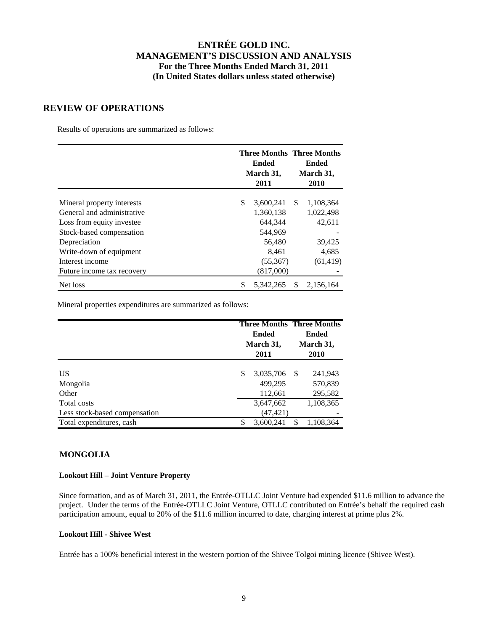### **REVIEW OF OPERATIONS**

Results of operations are summarized as follows:

|                            | <b>Three Months Three Months</b><br>Ended<br>March 31,<br>2011 |        | Ended<br>March 31,<br>2010 |  |
|----------------------------|----------------------------------------------------------------|--------|----------------------------|--|
|                            | \$                                                             |        |                            |  |
| Mineral property interests | 3,600,241                                                      | S      | 1,108,364                  |  |
| General and administrative | 1,360,138                                                      |        | 1,022,498                  |  |
| Loss from equity investee  | 644,344                                                        |        | 42,611                     |  |
| Stock-based compensation   | 544.969                                                        |        |                            |  |
| Depreciation               | 56,480                                                         | 39,425 |                            |  |
| Write-down of equipment    | 8,461                                                          | 4,685  |                            |  |
| Interest income            | (55,367)                                                       |        | (61, 419)                  |  |
| Future income tax recovery | (817,000)                                                      |        |                            |  |
| Net loss                   | \$<br>5,342,265                                                | \$     | 2,156,164                  |  |

Mineral properties expenditures are summarized as follows:

|                               |      | <b>Ended</b><br>March 31, | <b>Three Months Three Months</b><br>Ended<br>March 31,<br>2010 |           |  |
|-------------------------------|------|---------------------------|----------------------------------------------------------------|-----------|--|
|                               | 2011 |                           |                                                                |           |  |
| US                            | \$   | 3,035,706                 | - \$                                                           | 241,943   |  |
| Mongolia                      |      | 499.295                   |                                                                | 570,839   |  |
| Other                         |      | 112,661                   |                                                                | 295,582   |  |
| Total costs                   |      | 3,647,662                 |                                                                | 1,108,365 |  |
| Less stock-based compensation |      | (47, 421)                 |                                                                |           |  |
| Total expenditures, cash      | \$   | 3,600,241                 | \$                                                             | 1,108,364 |  |

### **MONGOLIA**

#### **Lookout Hill – Joint Venture Property**

Since formation, and as of March 31, 2011, the Entrée-OTLLC Joint Venture had expended \$11.6 million to advance the project. Under the terms of the Entrée-OTLLC Joint Venture, OTLLC contributed on Entrée's behalf the required cash participation amount, equal to 20% of the \$11.6 million incurred to date, charging interest at prime plus 2%.

### **Lookout Hill - Shivee West**

Entrée has a 100% beneficial interest in the western portion of the Shivee Tolgoi mining licence (Shivee West).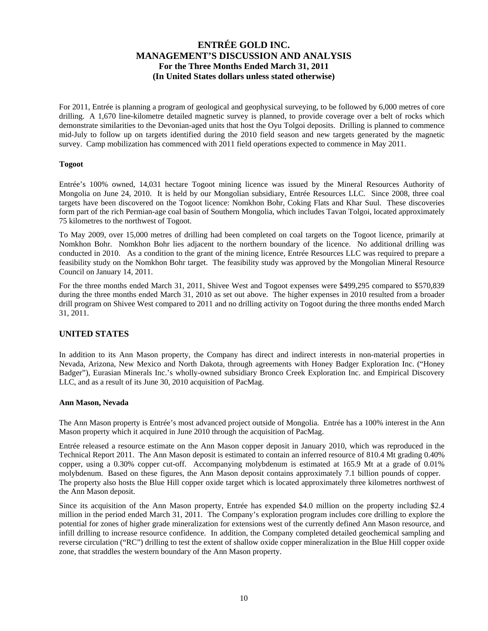For 2011, Entrée is planning a program of geological and geophysical surveying, to be followed by 6,000 metres of core drilling. A 1,670 line-kilometre detailed magnetic survey is planned, to provide coverage over a belt of rocks which demonstrate similarities to the Devonian-aged units that host the Oyu Tolgoi deposits. Drilling is planned to commence mid-July to follow up on targets identified during the 2010 field season and new targets generated by the magnetic survey. Camp mobilization has commenced with 2011 field operations expected to commence in May 2011.

#### **Togoot**

Entrée's 100% owned, 14,031 hectare Togoot mining licence was issued by the Mineral Resources Authority of Mongolia on June 24, 2010. It is held by our Mongolian subsidiary, Entrée Resources LLC. Since 2008, three coal targets have been discovered on the Togoot licence: Nomkhon Bohr, Coking Flats and Khar Suul. These discoveries form part of the rich Permian-age coal basin of Southern Mongolia, which includes Tavan Tolgoi, located approximately 75 kilometres to the northwest of Togoot.

To May 2009, over 15,000 metres of drilling had been completed on coal targets on the Togoot licence, primarily at Nomkhon Bohr. Nomkhon Bohr lies adjacent to the northern boundary of the licence. No additional drilling was conducted in 2010. As a condition to the grant of the mining licence, Entrée Resources LLC was required to prepare a feasibility study on the Nomkhon Bohr target. The feasibility study was approved by the Mongolian Mineral Resource Council on January 14, 2011.

For the three months ended March 31, 2011, Shivee West and Togoot expenses were \$499,295 compared to \$570,839 during the three months ended March 31, 2010 as set out above. The higher expenses in 2010 resulted from a broader drill program on Shivee West compared to 2011 and no drilling activity on Togoot during the three months ended March 31, 2011.

### **UNITED STATES**

In addition to its Ann Mason property, the Company has direct and indirect interests in non-material properties in Nevada, Arizona, New Mexico and North Dakota, through agreements with Honey Badger Exploration Inc. ("Honey Badger"), Eurasian Minerals Inc.'s wholly-owned subsidiary Bronco Creek Exploration Inc. and Empirical Discovery LLC, and as a result of its June 30, 2010 acquisition of PacMag.

#### **Ann Mason, Nevada**

The Ann Mason property is Entrée's most advanced project outside of Mongolia. Entrée has a 100% interest in the Ann Mason property which it acquired in June 2010 through the acquisition of PacMag.

Entrée released a resource estimate on the Ann Mason copper deposit in January 2010, which was reproduced in the Technical Report 2011. The Ann Mason deposit is estimated to contain an inferred resource of 810.4 Mt grading 0.40% copper, using a 0.30% copper cut-off. Accompanying molybdenum is estimated at 165.9 Mt at a grade of 0.01% molybdenum. Based on these figures, the Ann Mason deposit contains approximately 7.1 billion pounds of copper. The property also hosts the Blue Hill copper oxide target which is located approximately three kilometres northwest of the Ann Mason deposit.

Since its acquisition of the Ann Mason property, Entrée has expended \$4.0 million on the property including \$2.4 million in the period ended March 31, 2011. The Company's exploration program includes core drilling to explore the potential for zones of higher grade mineralization for extensions west of the currently defined Ann Mason resource, and infill drilling to increase resource confidence. In addition, the Company completed detailed geochemical sampling and reverse circulation ("RC") drilling to test the extent of shallow oxide copper mineralization in the Blue Hill copper oxide zone, that straddles the western boundary of the Ann Mason property.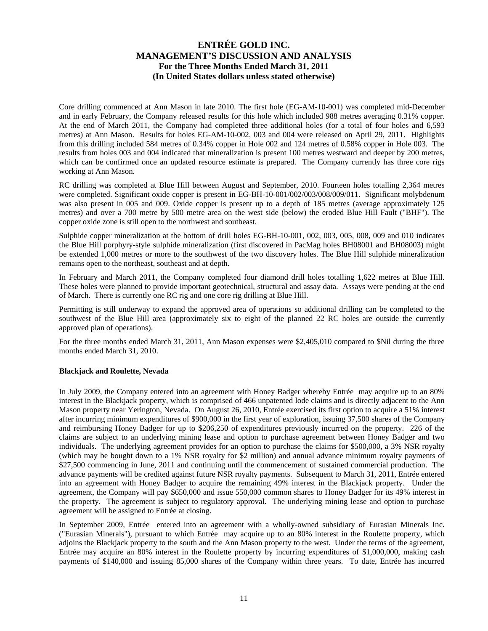Core drilling commenced at Ann Mason in late 2010. The first hole (EG-AM-10-001) was completed mid-December and in early February, the Company released results for this hole which included 988 metres averaging 0.31% copper. At the end of March 2011, the Company had completed three additional holes (for a total of four holes and 6,593 metres) at Ann Mason. Results for holes EG-AM-10-002, 003 and 004 were released on April 29, 2011. Highlights from this drilling included 584 metres of 0.34% copper in Hole 002 and 124 metres of 0.58% copper in Hole 003. The results from holes 003 and 004 indicated that mineralization is present 100 metres westward and deeper by 200 metres, which can be confirmed once an updated resource estimate is prepared. The Company currently has three core rigs working at Ann Mason.

RC drilling was completed at Blue Hill between August and September, 2010. Fourteen holes totalling 2,364 metres were completed. Significant oxide copper is present in EG-BH-10-001/002/003/008/009/011. Significant molybdenum was also present in 005 and 009. Oxide copper is present up to a depth of 185 metres (average approximately 125 metres) and over a 700 metre by 500 metre area on the west side (below) the eroded Blue Hill Fault ("BHF"). The copper oxide zone is still open to the northwest and southeast.

Sulphide copper mineralization at the bottom of drill holes EG-BH-10-001, 002, 003, 005, 008, 009 and 010 indicates the Blue Hill porphyry-style sulphide mineralization (first discovered in PacMag holes BH08001 and BH08003) might be extended 1,000 metres or more to the southwest of the two discovery holes. The Blue Hill sulphide mineralization remains open to the northeast, southeast and at depth.

In February and March 2011, the Company completed four diamond drill holes totalling 1,622 metres at Blue Hill. These holes were planned to provide important geotechnical, structural and assay data. Assays were pending at the end of March. There is currently one RC rig and one core rig drilling at Blue Hill.

Permitting is still underway to expand the approved area of operations so additional drilling can be completed to the southwest of the Blue Hill area (approximately six to eight of the planned 22 RC holes are outside the currently approved plan of operations).

For the three months ended March 31, 2011, Ann Mason expenses were \$2,405,010 compared to \$Nil during the three months ended March 31, 2010.

#### **Blackjack and Roulette, Nevada**

In July 2009, the Company entered into an agreement with Honey Badger whereby Entrée may acquire up to an 80% interest in the Blackjack property, which is comprised of 466 unpatented lode claims and is directly adjacent to the Ann Mason property near Yerington, Nevada. On August 26, 2010, Entrée exercised its first option to acquire a 51% interest after incurring minimum expenditures of \$900,000 in the first year of exploration, issuing 37,500 shares of the Company and reimbursing Honey Badger for up to \$206,250 of expenditures previously incurred on the property. 226 of the claims are subject to an underlying mining lease and option to purchase agreement between Honey Badger and two individuals. The underlying agreement provides for an option to purchase the claims for \$500,000, a 3% NSR royalty (which may be bought down to a 1% NSR royalty for \$2 million) and annual advance minimum royalty payments of \$27,500 commencing in June, 2011 and continuing until the commencement of sustained commercial production. The advance payments will be credited against future NSR royalty payments. Subsequent to March 31, 2011, Entrée entered into an agreement with Honey Badger to acquire the remaining 49% interest in the Blackjack property. Under the agreement, the Company will pay \$650,000 and issue 550,000 common shares to Honey Badger for its 49% interest in the property. The agreement is subject to regulatory approval. The underlying mining lease and option to purchase agreement will be assigned to Entrée at closing.

In September 2009, Entrée entered into an agreement with a wholly-owned subsidiary of Eurasian Minerals Inc. ("Eurasian Minerals"), pursuant to which Entrée may acquire up to an 80% interest in the Roulette property, which adjoins the Blackjack property to the south and the Ann Mason property to the west. Under the terms of the agreement, Entrée may acquire an 80% interest in the Roulette property by incurring expenditures of \$1,000,000, making cash payments of \$140,000 and issuing 85,000 shares of the Company within three years. To date, Entrée has incurred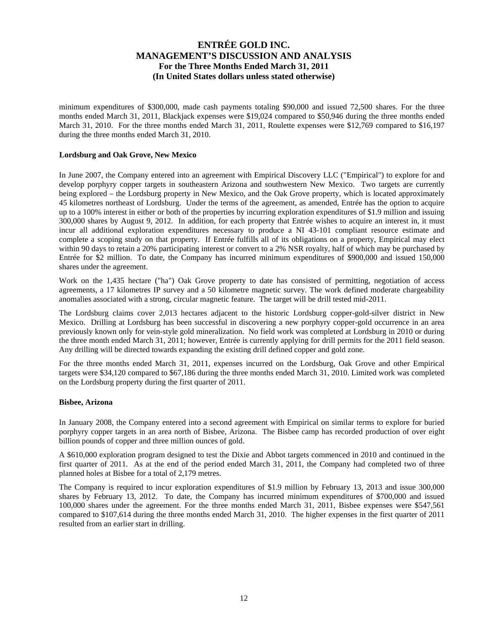minimum expenditures of \$300,000, made cash payments totaling \$90,000 and issued 72,500 shares. For the three months ended March 31, 2011, Blackjack expenses were \$19,024 compared to \$50,946 during the three months ended March 31, 2010. For the three months ended March 31, 2011, Roulette expenses were \$12,769 compared to \$16,197 during the three months ended March 31, 2010.

#### **Lordsburg and Oak Grove, New Mexico**

In June 2007, the Company entered into an agreement with Empirical Discovery LLC ("Empirical") to explore for and develop porphyry copper targets in southeastern Arizona and southwestern New Mexico. Two targets are currently being explored – the Lordsburg property in New Mexico, and the Oak Grove property, which is located approximately 45 kilometres northeast of Lordsburg. Under the terms of the agreement, as amended, Entrée has the option to acquire up to a 100% interest in either or both of the properties by incurring exploration expenditures of \$1.9 million and issuing 300,000 shares by August 9, 2012. In addition, for each property that Entrée wishes to acquire an interest in, it must incur all additional exploration expenditures necessary to produce a NI 43-101 compliant resource estimate and complete a scoping study on that property. If Entrée fulfills all of its obligations on a property, Empirical may elect within 90 days to retain a 20% participating interest or convert to a 2% NSR royalty, half of which may be purchased by Entrée for \$2 million. To date, the Company has incurred minimum expenditures of \$900,000 and issued 150,000 shares under the agreement.

Work on the 1,435 hectare ("ha") Oak Grove property to date has consisted of permitting, negotiation of access agreements, a 17 kilometres IP survey and a 50 kilometre magnetic survey. The work defined moderate chargeability anomalies associated with a strong, circular magnetic feature. The target will be drill tested mid-2011.

The Lordsburg claims cover 2,013 hectares adjacent to the historic Lordsburg copper-gold-silver district in New Mexico. Drilling at Lordsburg has been successful in discovering a new porphyry copper-gold occurrence in an area previously known only for vein-style gold mineralization. No field work was completed at Lordsburg in 2010 or during the three month ended March 31, 2011; however, Entrée is currently applying for drill permits for the 2011 field season. Any drilling will be directed towards expanding the existing drill defined copper and gold zone.

For the three months ended March 31, 2011, expenses incurred on the Lordsburg, Oak Grove and other Empirical targets were \$34,120 compared to \$67,186 during the three months ended March 31, 2010. Limited work was completed on the Lordsburg property during the first quarter of 2011.

#### **Bisbee, Arizona**

In January 2008, the Company entered into a second agreement with Empirical on similar terms to explore for buried porphyry copper targets in an area north of Bisbee, Arizona. The Bisbee camp has recorded production of over eight billion pounds of copper and three million ounces of gold.

A \$610,000 exploration program designed to test the Dixie and Abbot targets commenced in 2010 and continued in the first quarter of 2011. As at the end of the period ended March 31, 2011, the Company had completed two of three planned holes at Bisbee for a total of 2,179 metres.

The Company is required to incur exploration expenditures of \$1.9 million by February 13, 2013 and issue 300,000 shares by February 13, 2012. To date, the Company has incurred minimum expenditures of \$700,000 and issued 100,000 shares under the agreement. For the three months ended March 31, 2011, Bisbee expenses were \$547,561 compared to \$107,614 during the three months ended March 31, 2010. The higher expenses in the first quarter of 2011 resulted from an earlier start in drilling.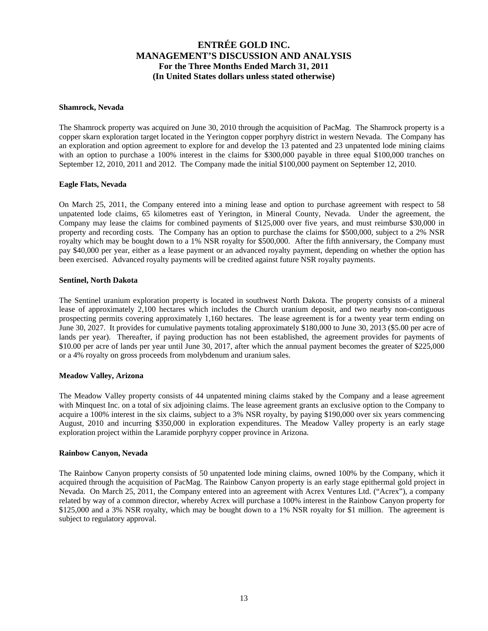#### **Shamrock, Nevada**

The Shamrock property was acquired on June 30, 2010 through the acquisition of PacMag. The Shamrock property is a copper skarn exploration target located in the Yerington copper porphyry district in western Nevada. The Company has an exploration and option agreement to explore for and develop the 13 patented and 23 unpatented lode mining claims with an option to purchase a 100% interest in the claims for \$300,000 payable in three equal \$100,000 tranches on September 12, 2010, 2011 and 2012. The Company made the initial \$100,000 payment on September 12, 2010.

#### **Eagle Flats, Nevada**

On March 25, 2011, the Company entered into a mining lease and option to purchase agreement with respect to 58 unpatented lode claims, 65 kilometres east of Yerington, in Mineral County, Nevada. Under the agreement, the Company may lease the claims for combined payments of \$125,000 over five years, and must reimburse \$30,000 in property and recording costs. The Company has an option to purchase the claims for \$500,000, subject to a 2% NSR royalty which may be bought down to a 1% NSR royalty for \$500,000. After the fifth anniversary, the Company must pay \$40,000 per year, either as a lease payment or an advanced royalty payment, depending on whether the option has been exercised. Advanced royalty payments will be credited against future NSR royalty payments.

#### **Sentinel, North Dakota**

The Sentinel uranium exploration property is located in southwest North Dakota. The property consists of a mineral lease of approximately 2,100 hectares which includes the Church uranium deposit, and two nearby non-contiguous prospecting permits covering approximately 1,160 hectares. The lease agreement is for a twenty year term ending on June 30, 2027. It provides for cumulative payments totaling approximately \$180,000 to June 30, 2013 (\$5.00 per acre of lands per year). Thereafter, if paying production has not been established, the agreement provides for payments of \$10.00 per acre of lands per year until June 30, 2017, after which the annual payment becomes the greater of \$225,000 or a 4% royalty on gross proceeds from molybdenum and uranium sales.

#### **Meadow Valley, Arizona**

The Meadow Valley property consists of 44 unpatented mining claims staked by the Company and a lease agreement with Minquest Inc. on a total of six adjoining claims. The lease agreement grants an exclusive option to the Company to acquire a 100% interest in the six claims, subject to a 3% NSR royalty, by paying \$190,000 over six years commencing August, 2010 and incurring \$350,000 in exploration expenditures. The Meadow Valley property is an early stage exploration project within the Laramide porphyry copper province in Arizona.

#### **Rainbow Canyon, Nevada**

The Rainbow Canyon property consists of 50 unpatented lode mining claims, owned 100% by the Company, which it acquired through the acquisition of PacMag. The Rainbow Canyon property is an early stage epithermal gold project in Nevada. On March 25, 2011, the Company entered into an agreement with Acrex Ventures Ltd. ("Acrex"), a company related by way of a common director, whereby Acrex will purchase a 100% interest in the Rainbow Canyon property for \$125,000 and a 3% NSR royalty, which may be bought down to a 1% NSR royalty for \$1 million. The agreement is subject to regulatory approval.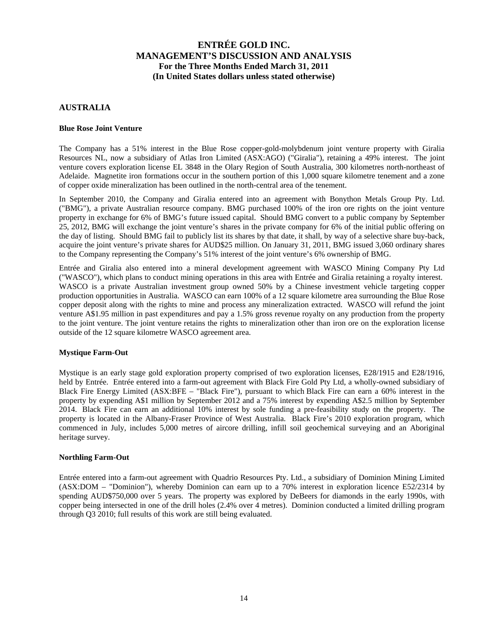### **AUSTRALIA**

#### **Blue Rose Joint Venture**

The Company has a 51% interest in the Blue Rose copper-gold-molybdenum joint venture property with Giralia Resources NL, now a subsidiary of Atlas Iron Limited (ASX:AGO) ("Giralia"), retaining a 49% interest. The joint venture covers exploration license EL 3848 in the Olary Region of South Australia, 300 kilometres north-northeast of Adelaide. Magnetite iron formations occur in the southern portion of this 1,000 square kilometre tenement and a zone of copper oxide mineralization has been outlined in the north-central area of the tenement.

In September 2010, the Company and Giralia entered into an agreement with Bonython Metals Group Pty. Ltd. ("BMG"), a private Australian resource company. BMG purchased 100% of the iron ore rights on the joint venture property in exchange for 6% of BMG's future issued capital. Should BMG convert to a public company by September 25, 2012, BMG will exchange the joint venture's shares in the private company for 6% of the initial public offering on the day of listing. Should BMG fail to publicly list its shares by that date, it shall, by way of a selective share buy-back, acquire the joint venture's private shares for AUD\$25 million. On January 31, 2011, BMG issued 3,060 ordinary shares to the Company representing the Company's 51% interest of the joint venture's 6% ownership of BMG.

Entrée and Giralia also entered into a mineral development agreement with WASCO Mining Company Pty Ltd ("WASCO"), which plans to conduct mining operations in this area with Entrée and Giralia retaining a royalty interest. WASCO is a private Australian investment group owned 50% by a Chinese investment vehicle targeting copper production opportunities in Australia. WASCO can earn 100% of a 12 square kilometre area surrounding the Blue Rose copper deposit along with the rights to mine and process any mineralization extracted. WASCO will refund the joint venture A\$1.95 million in past expenditures and pay a 1.5% gross revenue royalty on any production from the property to the joint venture. The joint venture retains the rights to mineralization other than iron ore on the exploration license outside of the 12 square kilometre WASCO agreement area.

#### **Mystique Farm-Out**

Mystique is an early stage gold exploration property comprised of two exploration licenses, E28/1915 and E28/1916, held by Entrée. Entrée entered into a farm-out agreement with Black Fire Gold Pty Ltd, a wholly-owned subsidiary of Black Fire Energy Limited (ASX:BFE – "Black Fire"), pursuant to which Black Fire can earn a 60% interest in the property by expending A\$1 million by September 2012 and a 75% interest by expending A\$2.5 million by September 2014. Black Fire can earn an additional 10% interest by sole funding a pre-feasibility study on the property. The property is located in the Albany-Fraser Province of West Australia. Black Fire's 2010 exploration program, which commenced in July, includes 5,000 metres of aircore drilling, infill soil geochemical surveying and an Aboriginal heritage survey.

#### **Northling Farm-Out**

Entrée entered into a farm-out agreement with Quadrio Resources Pty. Ltd., a subsidiary of Dominion Mining Limited (ASX:DOM – "Dominion"), whereby Dominion can earn up to a 70% interest in exploration licence E52/2314 by spending AUD\$750,000 over 5 years. The property was explored by DeBeers for diamonds in the early 1990s, with copper being intersected in one of the drill holes (2.4% over 4 metres). Dominion conducted a limited drilling program through Q3 2010; full results of this work are still being evaluated.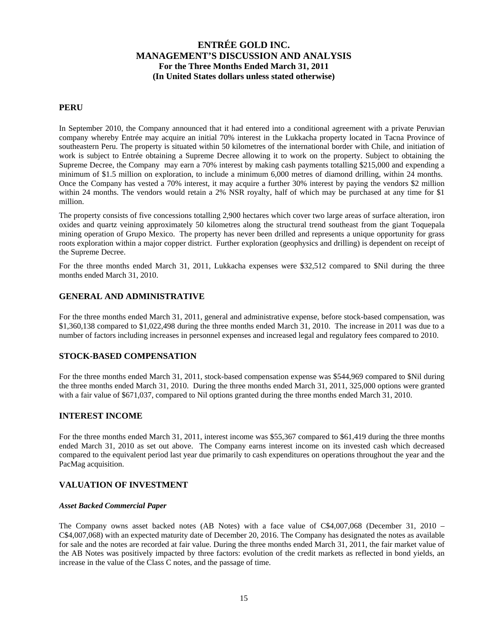### **PERU**

In September 2010, the Company announced that it had entered into a conditional agreement with a private Peruvian company whereby Entrée may acquire an initial 70% interest in the Lukkacha property located in Tacna Province of southeastern Peru. The property is situated within 50 kilometres of the international border with Chile, and initiation of work is subject to Entrée obtaining a Supreme Decree allowing it to work on the property. Subject to obtaining the Supreme Decree, the Company may earn a 70% interest by making cash payments totalling \$215,000 and expending a minimum of \$1.5 million on exploration, to include a minimum 6,000 metres of diamond drilling, within 24 months. Once the Company has vested a 70% interest, it may acquire a further 30% interest by paying the vendors \$2 million within 24 months. The vendors would retain a 2% NSR royalty, half of which may be purchased at any time for \$1 million.

The property consists of five concessions totalling 2,900 hectares which cover two large areas of surface alteration, iron oxides and quartz veining approximately 50 kilometres along the structural trend southeast from the giant Toquepala mining operation of Grupo Mexico. The property has never been drilled and represents a unique opportunity for grass roots exploration within a major copper district. Further exploration (geophysics and drilling) is dependent on receipt of the Supreme Decree.

For the three months ended March 31, 2011, Lukkacha expenses were \$32,512 compared to \$Nil during the three months ended March 31, 2010.

### **GENERAL AND ADMINISTRATIVE**

For the three months ended March 31, 2011, general and administrative expense, before stock-based compensation, was \$1,360,138 compared to \$1,022,498 during the three months ended March 31, 2010. The increase in 2011 was due to a number of factors including increases in personnel expenses and increased legal and regulatory fees compared to 2010.

### **STOCK-BASED COMPENSATION**

For the three months ended March 31, 2011, stock-based compensation expense was \$544,969 compared to \$Nil during the three months ended March 31, 2010. During the three months ended March 31, 2011, 325,000 options were granted with a fair value of \$671,037, compared to Nil options granted during the three months ended March 31, 2010.

### **INTEREST INCOME**

For the three months ended March 31, 2011, interest income was \$55,367 compared to \$61,419 during the three months ended March 31, 2010 as set out above. The Company earns interest income on its invested cash which decreased compared to the equivalent period last year due primarily to cash expenditures on operations throughout the year and the PacMag acquisition.

#### **VALUATION OF INVESTMENT**

#### *Asset Backed Commercial Paper*

The Company owns asset backed notes (AB Notes) with a face value of C\$4,007,068 (December 31, 2010 – C\$4,007,068) with an expected maturity date of December 20, 2016. The Company has designated the notes as available for sale and the notes are recorded at fair value. During the three months ended March 31, 2011, the fair market value of the AB Notes was positively impacted by three factors: evolution of the credit markets as reflected in bond yields, an increase in the value of the Class C notes, and the passage of time.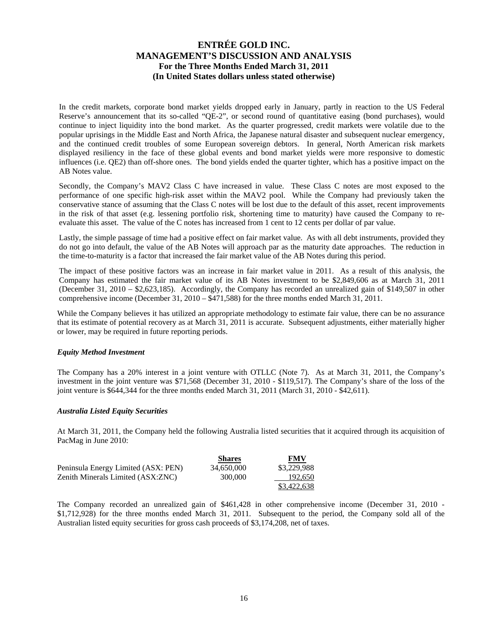In the credit markets, corporate bond market yields dropped early in January, partly in reaction to the US Federal Reserve's announcement that its so-called "QE-2", or second round of quantitative easing (bond purchases), would continue to inject liquidity into the bond market. As the quarter progressed, credit markets were volatile due to the popular uprisings in the Middle East and North Africa, the Japanese natural disaster and subsequent nuclear emergency, and the continued credit troubles of some European sovereign debtors. In general, North American risk markets displayed resiliency in the face of these global events and bond market yields were more responsive to domestic influences (i.e. QE2) than off-shore ones. The bond yields ended the quarter tighter, which has a positive impact on the AB Notes value.

Secondly, the Company's MAV2 Class C have increased in value. These Class C notes are most exposed to the performance of one specific high-risk asset within the MAV2 pool. While the Company had previously taken the conservative stance of assuming that the Class C notes will be lost due to the default of this asset, recent improvements in the risk of that asset (e.g. lessening portfolio risk, shortening time to maturity) have caused the Company to reevaluate this asset. The value of the C notes has increased from 1 cent to 12 cents per dollar of par value.

Lastly, the simple passage of time had a positive effect on fair market value. As with all debt instruments, provided they do not go into default, the value of the AB Notes will approach par as the maturity date approaches. The reduction in the time-to-maturity is a factor that increased the fair market value of the AB Notes during this period.

The impact of these positive factors was an increase in fair market value in 2011. As a result of this analysis, the Company has estimated the fair market value of its AB Notes investment to be \$2,849,606 as at March 31, 2011 (December 31, 2010 – \$2,623,185). Accordingly, the Company has recorded an unrealized gain of \$149,507 in other comprehensive income (December 31, 2010 – \$471,588) for the three months ended March 31, 2011.

While the Company believes it has utilized an appropriate methodology to estimate fair value, there can be no assurance that its estimate of potential recovery as at March 31, 2011 is accurate. Subsequent adjustments, either materially higher or lower, may be required in future reporting periods.

#### *Equity Method Investment*

The Company has a 20% interest in a joint venture with OTLLC (Note 7). As at March 31, 2011, the Company's investment in the joint venture was \$71,568 (December 31, 2010 - \$119,517). The Company's share of the loss of the joint venture is \$644,344 for the three months ended March 31, 2011 (March 31, 2010 - \$42,611).

#### *Australia Listed Equity Securities*

At March 31, 2011, the Company held the following Australia listed securities that it acquired through its acquisition of PacMag in June 2010:

|                                     | <b>Shares</b> | FMV         |
|-------------------------------------|---------------|-------------|
| Peninsula Energy Limited (ASX: PEN) | 34,650,000    | \$3,229,988 |
| Zenith Minerals Limited (ASX:ZNC)   | 300,000       | 192,650     |
|                                     |               | \$3,422,638 |

The Company recorded an unrealized gain of \$461,428 in other comprehensive income (December 31, 2010 - \$1,712,928) for the three months ended March 31, 2011. Subsequent to the period, the Company sold all of the Australian listed equity securities for gross cash proceeds of \$3,174,208, net of taxes.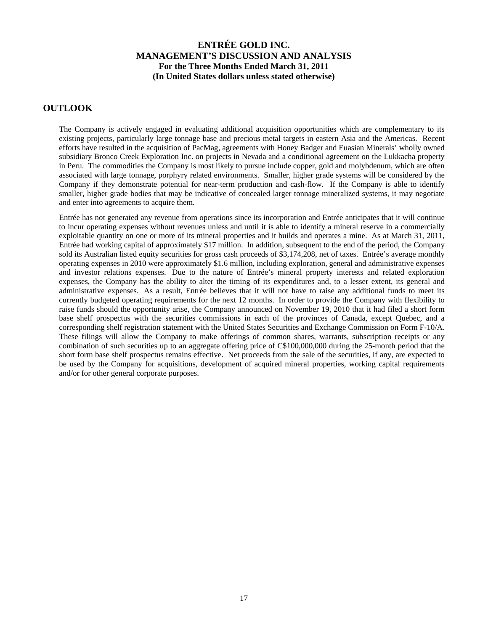### **OUTLOOK**

The Company is actively engaged in evaluating additional acquisition opportunities which are complementary to its existing projects, particularly large tonnage base and precious metal targets in eastern Asia and the Americas. Recent efforts have resulted in the acquisition of PacMag, agreements with Honey Badger and Euasian Minerals' wholly owned subsidiary Bronco Creek Exploration Inc. on projects in Nevada and a conditional agreement on the Lukkacha property in Peru. The commodities the Company is most likely to pursue include copper, gold and molybdenum, which are often associated with large tonnage, porphyry related environments. Smaller, higher grade systems will be considered by the Company if they demonstrate potential for near-term production and cash-flow. If the Company is able to identify smaller, higher grade bodies that may be indicative of concealed larger tonnage mineralized systems, it may negotiate and enter into agreements to acquire them.

Entrée has not generated any revenue from operations since its incorporation and Entrée anticipates that it will continue to incur operating expenses without revenues unless and until it is able to identify a mineral reserve in a commercially exploitable quantity on one or more of its mineral properties and it builds and operates a mine. As at March 31, 2011, Entrée had working capital of approximately \$17 million. In addition, subsequent to the end of the period, the Company sold its Australian listed equity securities for gross cash proceeds of \$3,174,208, net of taxes. Entrée's average monthly operating expenses in 2010 were approximately \$1.6 million, including exploration, general and administrative expenses and investor relations expenses. Due to the nature of Entrée's mineral property interests and related exploration expenses, the Company has the ability to alter the timing of its expenditures and, to a lesser extent, its general and administrative expenses. As a result, Entrée believes that it will not have to raise any additional funds to meet its currently budgeted operating requirements for the next 12 months. In order to provide the Company with flexibility to raise funds should the opportunity arise, the Company announced on November 19, 2010 that it had filed a short form base shelf prospectus with the securities commissions in each of the provinces of Canada, except Quebec, and a corresponding shelf registration statement with the United States Securities and Exchange Commission on Form F-10/A. These filings will allow the Company to make offerings of common shares, warrants, subscription receipts or any combination of such securities up to an aggregate offering price of C\$100,000,000 during the 25-month period that the short form base shelf prospectus remains effective. Net proceeds from the sale of the securities, if any, are expected to be used by the Company for acquisitions, development of acquired mineral properties, working capital requirements and/or for other general corporate purposes.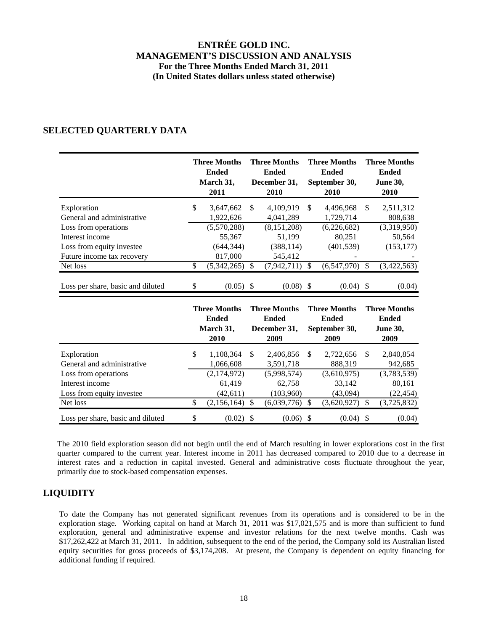## **SELECTED QUARTERLY DATA**

|                                                                      |              | <b>Three Months</b><br><b>Ended</b><br>March 31,<br>2011 | <b>Three Months</b><br><b>Ended</b><br>December 31,<br>2010 | <b>Three Months</b><br><b>Ended</b><br>September 30,<br>2010 |                           | <b>Three Months</b><br><b>Ended</b><br><b>June 30,</b><br>2010 |
|----------------------------------------------------------------------|--------------|----------------------------------------------------------|-------------------------------------------------------------|--------------------------------------------------------------|---------------------------|----------------------------------------------------------------|
| Exploration<br>General and administrative                            | $\mathbb{S}$ | 3,647,662<br>1,922,626                                   | \$<br>4,109,919<br>4,041,289                                | \$<br>4,496,968<br>1,729,714                                 | \$                        | 2,511,312<br>808,638                                           |
| Loss from operations<br>Interest income<br>Loss from equity investee |              | (5,570,288)<br>55,367<br>(644, 344)                      | (8, 151, 208)<br>51,199<br>(388, 114)                       | (6, 226, 682)<br>80,251<br>(401, 539)                        |                           | (3,319,950)<br>50,564<br>(153, 177)                            |
| Future income tax recovery<br>Net loss                               | \$           | 817,000<br>(5,342,265)                                   | \$<br>545,412<br>(7,942,711)                                | \$<br>(6,547,970)                                            | \$                        | (3,422,563)                                                    |
| Loss per share, basic and diluted                                    | \$           | $(0.05)$ \$                                              | $(0.08)$ \$                                                 | $(0.04)$ \$                                                  |                           | (0.04)                                                         |
|                                                                      |              | <b>Three Months</b><br><b>Ended</b><br>March 31,<br>2010 | <b>Three Months</b><br><b>Ended</b><br>December 31,<br>2009 | <b>Three Months</b><br><b>Ended</b><br>September 30,<br>2009 |                           | <b>Three Months</b><br><b>Ended</b><br><b>June 30,</b><br>2009 |
| Exploration<br>General and administrative                            | \$           | 1,108,364<br>1,066,608                                   | \$<br>2,406,856<br>3,591,718                                | \$<br>2,722,656<br>888,319                                   | \$                        | 2,840,854<br>942,685                                           |
| Loss from operations<br>Interest income<br>Loss from equity investee |              | (2,174,972)<br>61,419<br>(42, 611)                       | (5,998,574)<br>62,758<br>(103,960)                          | (3,610,975)<br>33,142<br>(43,094)                            |                           | (3,783,539)<br>80,161<br>(22, 454)                             |
| Net loss                                                             | \$           | (2,156,164)                                              | \$<br>(6,039,776)                                           | \$<br>(3,620,927)                                            | \$                        | (3,725,832)                                                    |
| Loss per share, basic and diluted                                    | \$           | (0.02)                                                   | \$<br>$(0.06)$ \$                                           | (0.04)                                                       | $\boldsymbol{\mathsf{S}}$ | (0.04)                                                         |

The 2010 field exploration season did not begin until the end of March resulting in lower explorations cost in the first quarter compared to the current year. Interest income in 2011 has decreased compared to 2010 due to a decrease in interest rates and a reduction in capital invested. General and administrative costs fluctuate throughout the year, primarily due to stock-based compensation expenses.

## **LIQUIDITY**

To date the Company has not generated significant revenues from its operations and is considered to be in the exploration stage. Working capital on hand at March 31, 2011 was \$17,021,575 and is more than sufficient to fund exploration, general and administrative expense and investor relations for the next twelve months. Cash was \$17,262,422 at March 31, 2011. In addition, subsequent to the end of the period, the Company sold its Australian listed equity securities for gross proceeds of \$3,174,208. At present, the Company is dependent on equity financing for additional funding if required.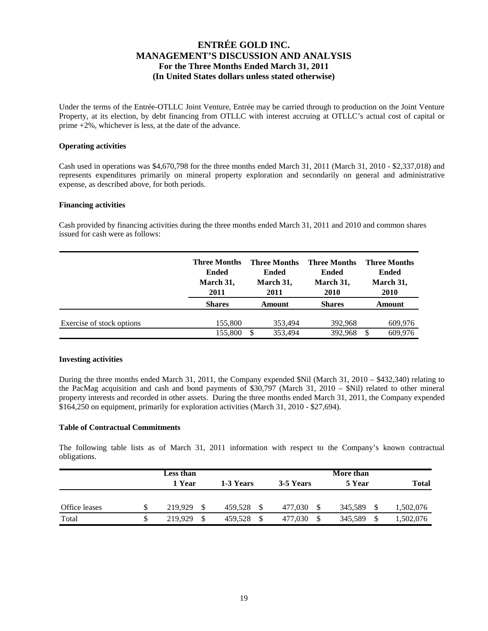Under the terms of the Entrée-OTLLC Joint Venture, Entrée may be carried through to production on the Joint Venture Property, at its election, by debt financing from OTLLC with interest accruing at OTLLC's actual cost of capital or prime +2%, whichever is less, at the date of the advance.

#### **Operating activities**

Cash used in operations was \$4,670,798 for the three months ended March 31, 2011 (March 31, 2010 - \$2,337,018) and represents expenditures primarily on mineral property exploration and secondarily on general and administrative expense, as described above, for both periods.

#### **Financing activities**

Cash provided by financing activities during the three months ended March 31, 2011 and 2010 and common shares issued for cash were as follows:

|                           | <b>Three Months</b><br><b>Ended</b><br>March 31,<br>2011 | <b>Three Months</b><br>Ended<br>March 31,<br>2011 | <b>Three Months</b><br><b>Ended</b><br>March 31,<br><b>2010</b> | <b>Three Months</b><br><b>Ended</b><br>March 31,<br><b>2010</b> |  |
|---------------------------|----------------------------------------------------------|---------------------------------------------------|-----------------------------------------------------------------|-----------------------------------------------------------------|--|
|                           | <b>Shares</b>                                            | Amount                                            | <b>Shares</b>                                                   | Amount                                                          |  |
| Exercise of stock options | 155,800                                                  | 353.494                                           | 392.968                                                         | 609.976                                                         |  |
|                           | 155,800                                                  | 353.494<br>\$                                     | 392.968                                                         | 609.976<br>S                                                    |  |

#### **Investing activities**

During the three months ended March 31, 2011, the Company expended \$Nil (March 31, 2010 – \$432,340) relating to the PacMag acquisition and cash and bond payments of \$30,797 (March 31, 2010 – \$Nil) related to other mineral property interests and recorded in other assets. During the three months ended March 31, 2011, the Company expended \$164,250 on equipment, primarily for exploration activities (March 31, 2010 - \$27,694).

#### **Table of Contractual Commitments**

The following table lists as of March 31, 2011 information with respect to the Company's known contractual obligations.

|               | Less than |    |           |    |           |   | More than |              |
|---------------|-----------|----|-----------|----|-----------|---|-----------|--------------|
|               | 1 Year    |    | 1-3 Years |    | 3-5 Years |   | 5 Year    | <b>Total</b> |
|               |           |    |           |    |           |   |           |              |
| Office leases | 219.929   |    | 459.528   | \$ | 477.030   |   | 345.589   | 1,502,076    |
| Total         | 219,929   | -S | 459,528   | S  | 477,030   | S | 345,589   | 1,502,076    |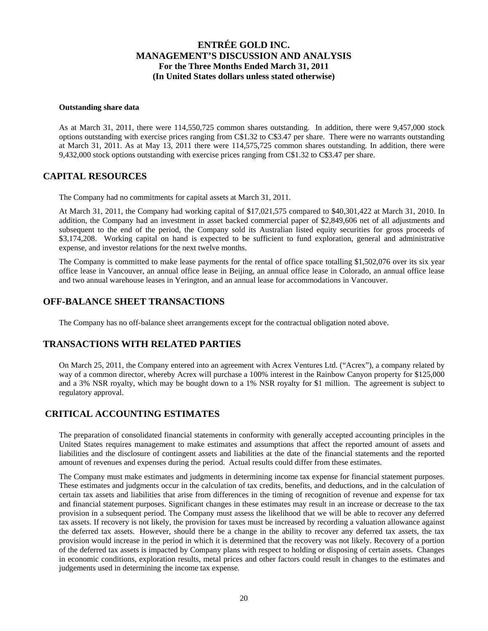#### **Outstanding share data**

As at March 31, 2011, there were 114,550,725 common shares outstanding. In addition, there were 9,457,000 stock options outstanding with exercise prices ranging from C\$1.32 to C\$3.47 per share. There were no warrants outstanding at March 31, 2011. As at May 13, 2011 there were 114,575,725 common shares outstanding. In addition, there were 9,432,000 stock options outstanding with exercise prices ranging from C\$1.32 to C\$3.47 per share.

### **CAPITAL RESOURCES**

The Company had no commitments for capital assets at March 31, 2011.

At March 31, 2011, the Company had working capital of \$17,021,575 compared to \$40,301,422 at March 31, 2010. In addition, the Company had an investment in asset backed commercial paper of \$2,849,606 net of all adjustments and subsequent to the end of the period, the Company sold its Australian listed equity securities for gross proceeds of \$3,174,208. Working capital on hand is expected to be sufficient to fund exploration, general and administrative expense, and investor relations for the next twelve months.

The Company is committed to make lease payments for the rental of office space totalling \$1,502,076 over its six year office lease in Vancouver, an annual office lease in Beijing, an annual office lease in Colorado, an annual office lease and two annual warehouse leases in Yerington, and an annual lease for accommodations in Vancouver.

### **OFF-BALANCE SHEET TRANSACTIONS**

The Company has no off-balance sheet arrangements except for the contractual obligation noted above.

### **TRANSACTIONS WITH RELATED PARTIES**

On March 25, 2011, the Company entered into an agreement with Acrex Ventures Ltd. ("Acrex"), a company related by way of a common director, whereby Acrex will purchase a 100% interest in the Rainbow Canyon property for \$125,000 and a 3% NSR royalty, which may be bought down to a 1% NSR royalty for \$1 million. The agreement is subject to regulatory approval.

### **CRITICAL ACCOUNTING ESTIMATES**

The preparation of consolidated financial statements in conformity with generally accepted accounting principles in the United States requires management to make estimates and assumptions that affect the reported amount of assets and liabilities and the disclosure of contingent assets and liabilities at the date of the financial statements and the reported amount of revenues and expenses during the period. Actual results could differ from these estimates.

The Company must make estimates and judgments in determining income tax expense for financial statement purposes. These estimates and judgments occur in the calculation of tax credits, benefits, and deductions, and in the calculation of certain tax assets and liabilities that arise from differences in the timing of recognition of revenue and expense for tax and financial statement purposes. Significant changes in these estimates may result in an increase or decrease to the tax provision in a subsequent period. The Company must assess the likelihood that we will be able to recover any deferred tax assets. If recovery is not likely, the provision for taxes must be increased by recording a valuation allowance against the deferred tax assets. However, should there be a change in the ability to recover any deferred tax assets, the tax provision would increase in the period in which it is determined that the recovery was not likely. Recovery of a portion of the deferred tax assets is impacted by Company plans with respect to holding or disposing of certain assets. Changes in economic conditions, exploration results, metal prices and other factors could result in changes to the estimates and judgements used in determining the income tax expense.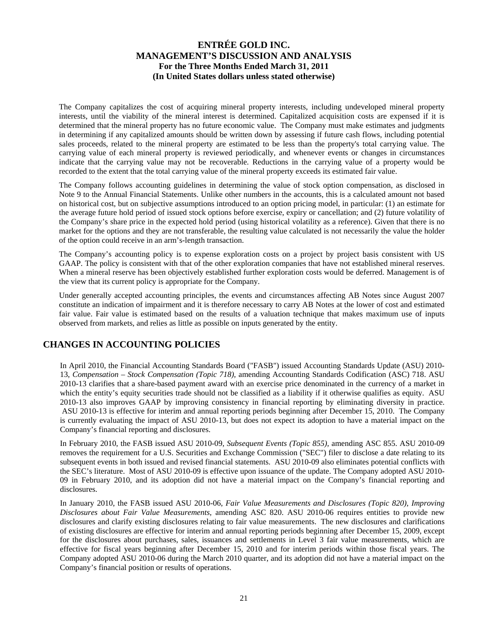The Company capitalizes the cost of acquiring mineral property interests, including undeveloped mineral property interests, until the viability of the mineral interest is determined. Capitalized acquisition costs are expensed if it is determined that the mineral property has no future economic value. The Company must make estimates and judgments in determining if any capitalized amounts should be written down by assessing if future cash flows, including potential sales proceeds, related to the mineral property are estimated to be less than the property's total carrying value. The carrying value of each mineral property is reviewed periodically, and whenever events or changes in circumstances indicate that the carrying value may not be recoverable. Reductions in the carrying value of a property would be recorded to the extent that the total carrying value of the mineral property exceeds its estimated fair value.

The Company follows accounting guidelines in determining the value of stock option compensation, as disclosed in Note 9 to the Annual Financial Statements. Unlike other numbers in the accounts, this is a calculated amount not based on historical cost, but on subjective assumptions introduced to an option pricing model, in particular: (1) an estimate for the average future hold period of issued stock options before exercise, expiry or cancellation; and (2) future volatility of the Company's share price in the expected hold period (using historical volatility as a reference). Given that there is no market for the options and they are not transferable, the resulting value calculated is not necessarily the value the holder of the option could receive in an arm's-length transaction.

The Company's accounting policy is to expense exploration costs on a project by project basis consistent with US GAAP. The policy is consistent with that of the other exploration companies that have not established mineral reserves. When a mineral reserve has been objectively established further exploration costs would be deferred. Management is of the view that its current policy is appropriate for the Company.

Under generally accepted accounting principles, the events and circumstances affecting AB Notes since August 2007 constitute an indication of impairment and it is therefore necessary to carry AB Notes at the lower of cost and estimated fair value. Fair value is estimated based on the results of a valuation technique that makes maximum use of inputs observed from markets, and relies as little as possible on inputs generated by the entity.

## **CHANGES IN ACCOUNTING POLICIES**

In April 2010, the Financial Accounting Standards Board ("FASB") issued Accounting Standards Update (ASU) 2010- 13, *Compensation – Stock Compensation (Topic 718),* amending Accounting Standards Codification (ASC) 718. ASU 2010-13 clarifies that a share-based payment award with an exercise price denominated in the currency of a market in which the entity's equity securities trade should not be classified as a liability if it otherwise qualifies as equity. ASU 2010-13 also improves GAAP by improving consistency in financial reporting by eliminating diversity in practice. ASU 2010-13 is effective for interim and annual reporting periods beginning after December 15, 2010. The Company is currently evaluating the impact of ASU 2010-13, but does not expect its adoption to have a material impact on the Company's financial reporting and disclosures.

In February 2010, the FASB issued ASU 2010-09, *Subsequent Events (Topic 855),* amending ASC 855. ASU 2010-09 removes the requirement for a U.S. Securities and Exchange Commission ("SEC") filer to disclose a date relating to its subsequent events in both issued and revised financial statements. ASU 2010-09 also eliminates potential conflicts with the SEC's literature. Most of ASU 2010-09 is effective upon issuance of the update. The Company adopted ASU 2010- 09 in February 2010, and its adoption did not have a material impact on the Company's financial reporting and disclosures.

In January 2010, the FASB issued ASU 2010-06, *Fair Value Measurements and Disclosures (Topic 820), Improving Disclosures about Fair Value Measurements,* amending ASC 820. ASU 2010-06 requires entities to provide new disclosures and clarify existing disclosures relating to fair value measurements. The new disclosures and clarifications of existing disclosures are effective for interim and annual reporting periods beginning after December 15, 2009, except for the disclosures about purchases, sales, issuances and settlements in Level 3 fair value measurements, which are effective for fiscal years beginning after December 15, 2010 and for interim periods within those fiscal years. The Company adopted ASU 2010-06 during the March 2010 quarter, and its adoption did not have a material impact on the Company's financial position or results of operations.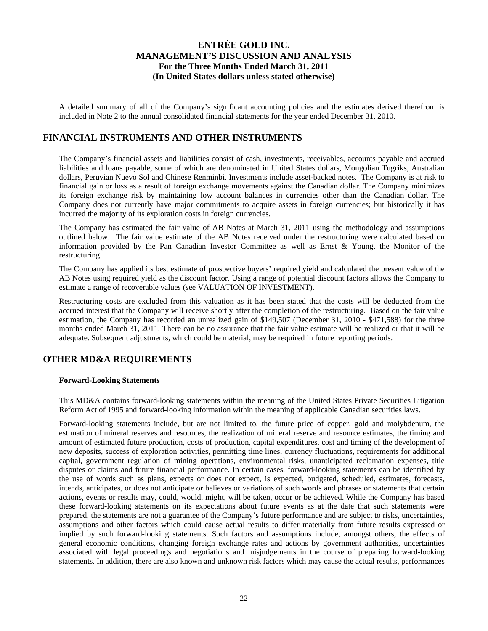A detailed summary of all of the Company's significant accounting policies and the estimates derived therefrom is included in Note 2 to the annual consolidated financial statements for the year ended December 31, 2010.

## **FINANCIAL INSTRUMENTS AND OTHER INSTRUMENTS**

The Company's financial assets and liabilities consist of cash, investments, receivables, accounts payable and accrued liabilities and loans payable, some of which are denominated in United States dollars, Mongolian Tugriks, Australian dollars, Peruvian Nuevo Sol and Chinese Renminbi. Investments include asset-backed notes. The Company is at risk to financial gain or loss as a result of foreign exchange movements against the Canadian dollar. The Company minimizes its foreign exchange risk by maintaining low account balances in currencies other than the Canadian dollar. The Company does not currently have major commitments to acquire assets in foreign currencies; but historically it has incurred the majority of its exploration costs in foreign currencies.

The Company has estimated the fair value of AB Notes at March 31, 2011 using the methodology and assumptions outlined below. The fair value estimate of the AB Notes received under the restructuring were calculated based on information provided by the Pan Canadian Investor Committee as well as Ernst & Young, the Monitor of the restructuring.

The Company has applied its best estimate of prospective buyers' required yield and calculated the present value of the AB Notes using required yield as the discount factor. Using a range of potential discount factors allows the Company to estimate a range of recoverable values (see VALUATION OF INVESTMENT).

Restructuring costs are excluded from this valuation as it has been stated that the costs will be deducted from the accrued interest that the Company will receive shortly after the completion of the restructuring. Based on the fair value estimation, the Company has recorded an unrealized gain of \$149,507 (December 31, 2010 - \$471,588) for the three months ended March 31, 2011. There can be no assurance that the fair value estimate will be realized or that it will be adequate. Subsequent adjustments, which could be material, may be required in future reporting periods.

## **OTHER MD&A REQUIREMENTS**

#### **Forward-Looking Statements**

This MD&A contains forward-looking statements within the meaning of the United States Private Securities Litigation Reform Act of 1995 and forward-looking information within the meaning of applicable Canadian securities laws.

Forward-looking statements include, but are not limited to, the future price of copper, gold and molybdenum, the estimation of mineral reserves and resources, the realization of mineral reserve and resource estimates, the timing and amount of estimated future production, costs of production, capital expenditures, cost and timing of the development of new deposits, success of exploration activities, permitting time lines, currency fluctuations, requirements for additional capital, government regulation of mining operations, environmental risks, unanticipated reclamation expenses, title disputes or claims and future financial performance. In certain cases, forward-looking statements can be identified by the use of words such as plans, expects or does not expect, is expected, budgeted, scheduled, estimates, forecasts, intends, anticipates, or does not anticipate or believes or variations of such words and phrases or statements that certain actions, events or results may, could, would, might, will be taken, occur or be achieved. While the Company has based these forward-looking statements on its expectations about future events as at the date that such statements were prepared, the statements are not a guarantee of the Company's future performance and are subject to risks, uncertainties, assumptions and other factors which could cause actual results to differ materially from future results expressed or implied by such forward-looking statements. Such factors and assumptions include, amongst others, the effects of general economic conditions, changing foreign exchange rates and actions by government authorities, uncertainties associated with legal proceedings and negotiations and misjudgements in the course of preparing forward-looking statements. In addition, there are also known and unknown risk factors which may cause the actual results, performances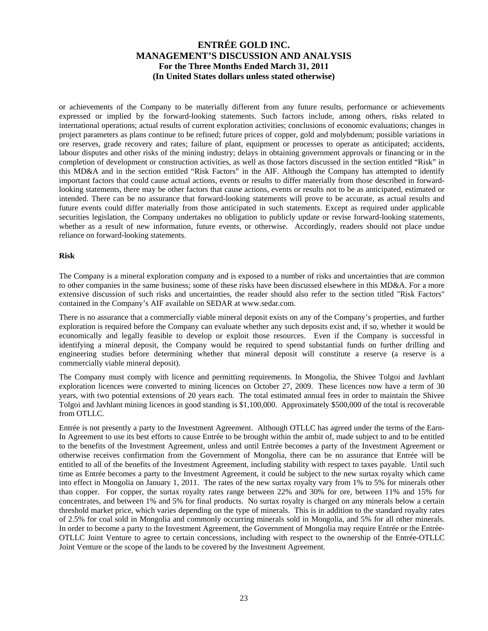or achievements of the Company to be materially different from any future results, performance or achievements expressed or implied by the forward-looking statements. Such factors include, among others, risks related to international operations; actual results of current exploration activities; conclusions of economic evaluations; changes in project parameters as plans continue to be refined; future prices of copper, gold and molybdenum; possible variations in ore reserves, grade recovery and rates; failure of plant, equipment or processes to operate as anticipated; accidents, labour disputes and other risks of the mining industry; delays in obtaining government approvals or financing or in the completion of development or construction activities, as well as those factors discussed in the section entitled "Risk" in this MD&A and in the section entitled "Risk Factors" in the AIF. Although the Company has attempted to identify important factors that could cause actual actions, events or results to differ materially from those described in forwardlooking statements, there may be other factors that cause actions, events or results not to be as anticipated, estimated or intended. There can be no assurance that forward-looking statements will prove to be accurate, as actual results and future events could differ materially from those anticipated in such statements. Except as required under applicable securities legislation, the Company undertakes no obligation to publicly update or revise forward-looking statements, whether as a result of new information, future events, or otherwise. Accordingly, readers should not place undue reliance on forward-looking statements.

#### **Risk**

The Company is a mineral exploration company and is exposed to a number of risks and uncertainties that are common to other companies in the same business; some of these risks have been discussed elsewhere in this MD&A. For a more extensive discussion of such risks and uncertainties, the reader should also refer to the section titled "Risk Factors" contained in the Company's AIF available on SEDAR at www.sedar.com.

There is no assurance that a commercially viable mineral deposit exists on any of the Company's properties, and further exploration is required before the Company can evaluate whether any such deposits exist and, if so, whether it would be economically and legally feasible to develop or exploit those resources. Even if the Company is successful in identifying a mineral deposit, the Company would be required to spend substantial funds on further drilling and engineering studies before determining whether that mineral deposit will constitute a reserve (a reserve is a commercially viable mineral deposit).

The Company must comply with licence and permitting requirements. In Mongolia, the Shivee Tolgoi and Javhlant exploration licences were converted to mining licences on October 27, 2009. These licences now have a term of 30 years, with two potential extensions of 20 years each. The total estimated annual fees in order to maintain the Shivee Tolgoi and Javhlant mining licences in good standing is \$1,100,000. Approximately \$500,000 of the total is recoverable from OTLLC.

Entrée is not presently a party to the Investment Agreement. Although OTLLC has agreed under the terms of the Earn-In Agreement to use its best efforts to cause Entrée to be brought within the ambit of, made subject to and to be entitled to the benefits of the Investment Agreement, unless and until Entrée becomes a party of the Investment Agreement or otherwise receives confirmation from the Government of Mongolia, there can be no assurance that Entrée will be entitled to all of the benefits of the Investment Agreement, including stability with respect to taxes payable. Until such time as Entrée becomes a party to the Investment Agreement, it could be subject to the new surtax royalty which came into effect in Mongolia on January 1, 2011. The rates of the new surtax royalty vary from 1% to 5% for minerals other than copper. For copper, the surtax royalty rates range between 22% and 30% for ore, between 11% and 15% for concentrates, and between 1% and 5% for final products. No surtax royalty is charged on any minerals below a certain threshold market price, which varies depending on the type of minerals. This is in addition to the standard royalty rates of 2.5% for coal sold in Mongolia and commonly occurring minerals sold in Mongolia, and 5% for all other minerals. In order to become a party to the Investment Agreement, the Government of Mongolia may require Entrée or the Entrée-OTLLC Joint Venture to agree to certain concessions, including with respect to the ownership of the Entrée-OTLLC Joint Venture or the scope of the lands to be covered by the Investment Agreement.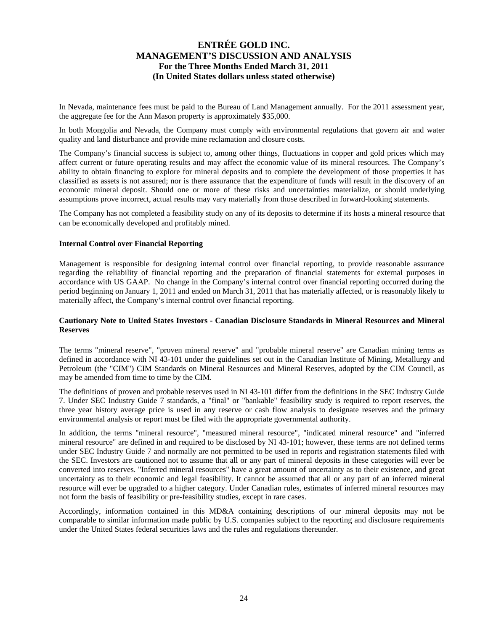In Nevada, maintenance fees must be paid to the Bureau of Land Management annually. For the 2011 assessment year, the aggregate fee for the Ann Mason property is approximately \$35,000.

In both Mongolia and Nevada, the Company must comply with environmental regulations that govern air and water quality and land disturbance and provide mine reclamation and closure costs.

The Company's financial success is subject to, among other things, fluctuations in copper and gold prices which may affect current or future operating results and may affect the economic value of its mineral resources. The Company's ability to obtain financing to explore for mineral deposits and to complete the development of those properties it has classified as assets is not assured; nor is there assurance that the expenditure of funds will result in the discovery of an economic mineral deposit. Should one or more of these risks and uncertainties materialize, or should underlying assumptions prove incorrect, actual results may vary materially from those described in forward-looking statements.

The Company has not completed a feasibility study on any of its deposits to determine if its hosts a mineral resource that can be economically developed and profitably mined.

#### **Internal Control over Financial Reporting**

Management is responsible for designing internal control over financial reporting, to provide reasonable assurance regarding the reliability of financial reporting and the preparation of financial statements for external purposes in accordance with US GAAP. No change in the Company's internal control over financial reporting occurred during the period beginning on January 1, 2011 and ended on March 31, 2011 that has materially affected, or is reasonably likely to materially affect, the Company's internal control over financial reporting.

#### **Cautionary Note to United States Investors - Canadian Disclosure Standards in Mineral Resources and Mineral Reserves**

The terms "mineral reserve", "proven mineral reserve" and "probable mineral reserve" are Canadian mining terms as defined in accordance with NI 43-101 under the guidelines set out in the Canadian Institute of Mining, Metallurgy and Petroleum (the "CIM") CIM Standards on Mineral Resources and Mineral Reserves, adopted by the CIM Council, as may be amended from time to time by the CIM.

The definitions of proven and probable reserves used in NI 43-101 differ from the definitions in the SEC Industry Guide 7. Under SEC Industry Guide 7 standards, a "final" or "bankable" feasibility study is required to report reserves, the three year history average price is used in any reserve or cash flow analysis to designate reserves and the primary environmental analysis or report must be filed with the appropriate governmental authority.

In addition, the terms "mineral resource", "measured mineral resource", "indicated mineral resource" and "inferred mineral resource" are defined in and required to be disclosed by NI 43-101; however, these terms are not defined terms under SEC Industry Guide 7 and normally are not permitted to be used in reports and registration statements filed with the SEC. Investors are cautioned not to assume that all or any part of mineral deposits in these categories will ever be converted into reserves. "Inferred mineral resources" have a great amount of uncertainty as to their existence, and great uncertainty as to their economic and legal feasibility. It cannot be assumed that all or any part of an inferred mineral resource will ever be upgraded to a higher category. Under Canadian rules, estimates of inferred mineral resources may not form the basis of feasibility or pre-feasibility studies, except in rare cases.

Accordingly, information contained in this MD&A containing descriptions of our mineral deposits may not be comparable to similar information made public by U.S. companies subject to the reporting and disclosure requirements under the United States federal securities laws and the rules and regulations thereunder.